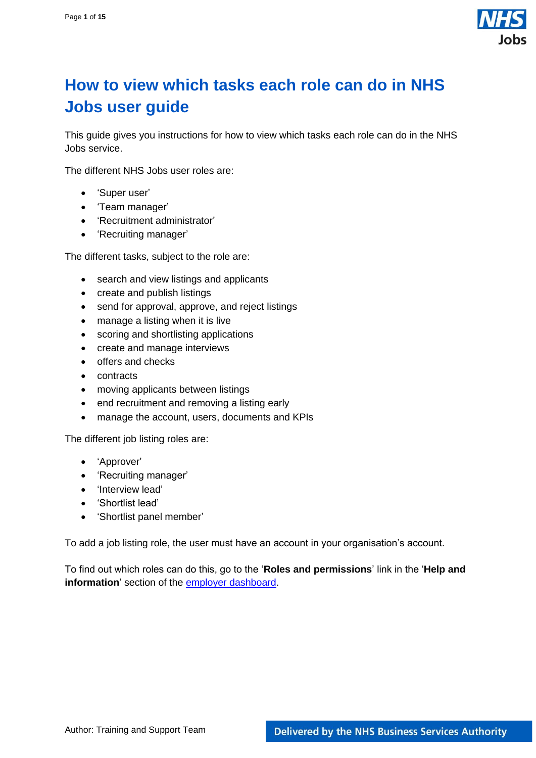

# <span id="page-0-0"></span>**How to view which tasks each role can do in NHS Jobs user guide**

This guide gives you instructions for how to view which tasks each role can do in the NHS Jobs service.

The different NHS Jobs user roles are:

- 'Super user'
- 'Team manager'
- 'Recruitment administrator'
- 'Recruiting manager'

The different tasks, subject to the role are:

- search and view listings and applicants
- create and publish listings
- send for approval, approve, and reject listings
- manage a listing when it is live
- scoring and shortlisting applications
- create and manage interviews
- offers and checks
- contracts
- moving applicants between listings
- end recruitment and removing a listing early
- manage the account, users, documents and KPIs

The different job listing roles are:

- 'Approver'
- 'Recruiting manager'
- 'Interview lead'
- 'Shortlist lead'
- 'Shortlist panel member'

To add a job listing role, the user must have an account in your organisation's account.

To find out which roles can do this, go to the '**Roles and permissions**' link in the '**Help and information**' section of the [employer dashboard.](https://beta.jobs.nhs.uk/home)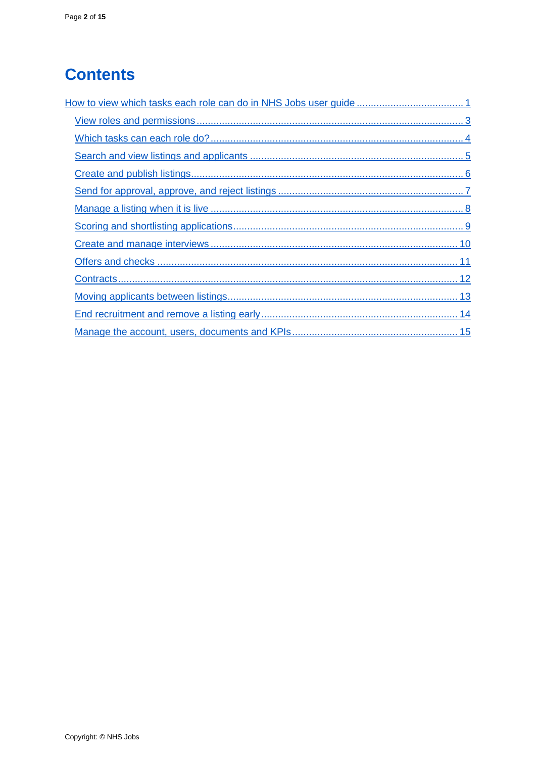# **Contents**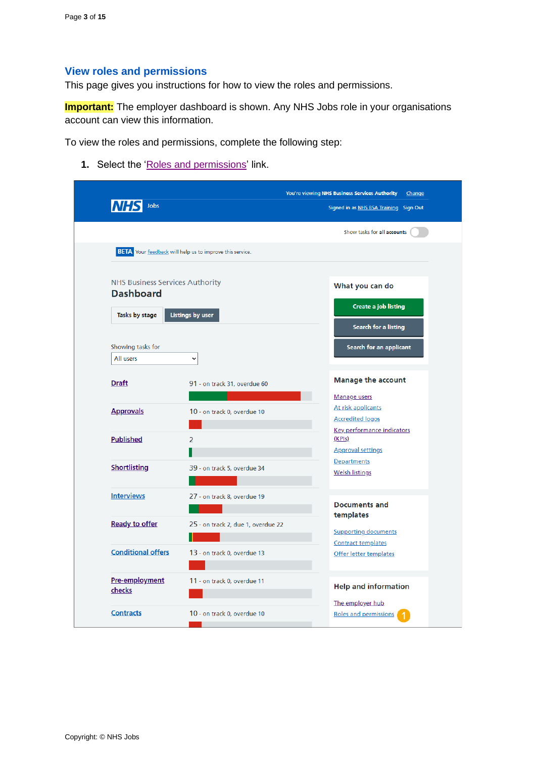#### <span id="page-2-0"></span>**View roles and permissions**

This page gives you instructions for how to view the roles and permissions.

**Important:** The employer dashboard is shown. Any NHS Jobs role in your organisations account can view this information.

To view the roles and permissions, complete the following step:

1. Select the ['Roles and permissions'](#page-3-0) link.

| Jobs                                                       |                                                                 | You're viewing NHS Business Services Authority<br>Change<br>Signed in as NHS BSA Training Sign Out |
|------------------------------------------------------------|-----------------------------------------------------------------|----------------------------------------------------------------------------------------------------|
|                                                            |                                                                 | Show tasks for all accounts                                                                        |
|                                                            | <b>BETA</b> Your feedback will help us to improve this service. |                                                                                                    |
| <b>NHS Business Services Authority</b><br><b>Dashboard</b> |                                                                 | What you can do                                                                                    |
| Tasks by stage                                             | Listings by user                                                | <b>Create a job listing</b><br>Search for a listing                                                |
| Showing tasks for<br>All users                             | $\checkmark$                                                    | Search for an applicant                                                                            |
| <b>Draft</b>                                               | 91 - on track 31, overdue 60                                    | <b>Manage the account</b>                                                                          |
| <b>Approvals</b>                                           | 10 - on track 0, overdue 10                                     | Manage users<br>At risk applicants<br><b>Accredited logos</b>                                      |
| <b>Published</b>                                           | $\overline{2}$                                                  | Key performance indicators<br>(KPIs)<br><b>Approval settings</b>                                   |
| <b>Shortlisting</b>                                        | 39 - on track 5, overdue 34                                     | Departments<br><b>Welsh listings</b>                                                               |
| <b>Interviews</b>                                          | 27 - on track 8, overdue 19                                     | <b>Documents and</b>                                                                               |
| <b>Ready to offer</b>                                      | 25 - on track 2, due 1, overdue 22                              | templates<br><b>Supporting documents</b><br><b>Contract templates</b>                              |
| <b>Conditional offers</b>                                  | 13 - on track 0, overdue 13                                     | Offer letter templates                                                                             |
| Pre-employment<br>checks                                   | 11 - on track 0, overdue 11                                     | <b>Help and information</b>                                                                        |
| <b>Contracts</b>                                           | 10 - on track 0, overdue 10                                     | The employer hub<br>Roles and permissions                                                          |
|                                                            |                                                                 |                                                                                                    |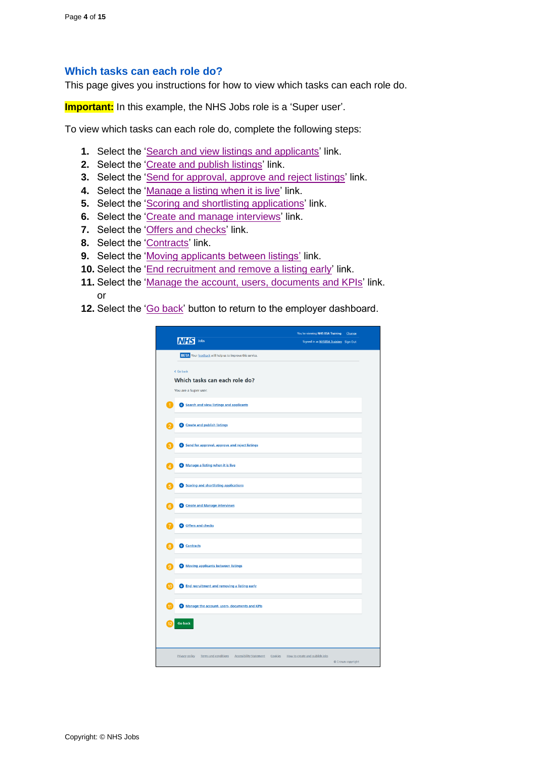#### <span id="page-3-0"></span>**Which tasks can each role do?**

This page gives you instructions for how to view which tasks can each role do.

**Important:** In this example, the NHS Jobs role is a 'Super user'.

To view which tasks can each role do, complete the following steps:

- **1.** Select the ['Search and view listings and applicants'](#page-4-0) link.
- **2.** Select the ['Create and publish listings'](#page-5-0) link.
- **3.** Select the ['Send for approval, approve and reject listings'](#page-6-0) link.
- **4.** Select the ['Manage a listing when it is live'](#page-7-0) link.
- **5.** Select the ['Scoring and shortlisting applications'](#page-8-0) link.
- **6.** Select the ['Create and manage interviews'](#page-8-1) link.
- **7.** Select the ['Offers and checks'](#page-10-0) link.
- **8.** Select the ['Contracts'](#page-11-0) link.
- **9.** Select the ['Moving applicants between listings'](#page-12-0) link.
- **10.** Select the ['End recruitment and remove a listing early'](#page-12-1) link.
- **11.** Select the ['Manage the account, users, documents and KPIs'](#page-14-0) link. or
- **12.** Select the ['Go back'](#page-2-0) button to return to the employer dashboard.

| Jobs<br>lΝH                                                                         | You're viewing NHS BSA Training<br>Change<br>Signed in as NHSBSA Training Sign Out |  |
|-------------------------------------------------------------------------------------|------------------------------------------------------------------------------------|--|
| <b>BETA</b> Your feedback will help us to improve this service.                     |                                                                                    |  |
| < Go back<br>Which tasks can each role do?<br>You are a Super user.                 |                                                                                    |  |
| Search and view listings and applicants<br>1                                        |                                                                                    |  |
| <b>Cheffering</b> Create and publish listings                                       |                                                                                    |  |
| Send for approval, approve and reject listings                                      |                                                                                    |  |
| Manage a listing when it is live                                                    |                                                                                    |  |
| Scoring and shortlisting applications<br>5                                          |                                                                                    |  |
| Create and Manage interviews<br>6                                                   |                                                                                    |  |
| Offers and checks                                                                   |                                                                                    |  |
| <b>Contracts</b>                                                                    |                                                                                    |  |
| <b>C</b> Moving applicants between listings<br>۱g                                   |                                                                                    |  |
| <b>C</b> End recruitment and removing a listing early<br>10                         |                                                                                    |  |
| Manage the account, users, documents and KPIs                                       |                                                                                    |  |
| <b>Go back</b>                                                                      |                                                                                    |  |
| <b>Accessibility Statement</b><br>Privacy policy<br>Terms and conditions<br>Cookies | How to create and publish jobs<br>Crown copyright                                  |  |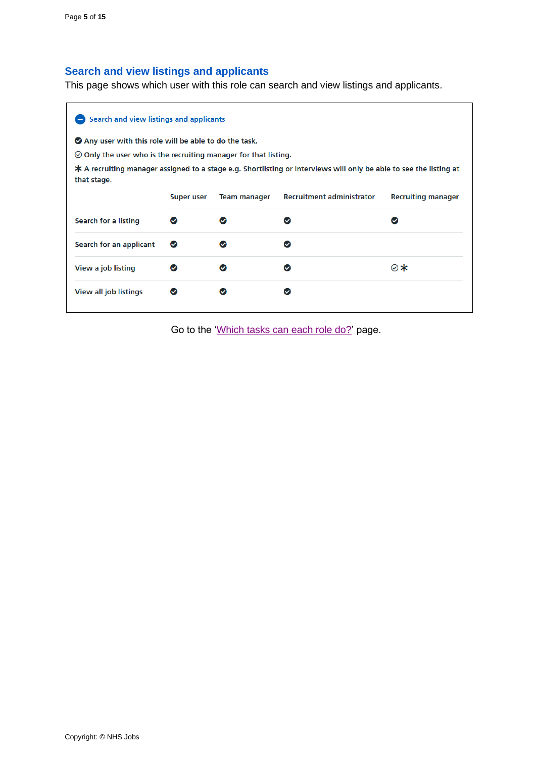# <span id="page-4-0"></span>**Search and view listings and applicants**

This page shows which user with this role can search and view listings and applicants.

| <b>Search and view listings and applicants</b>                                                                                      |               |                     |                                  |                           |  |  |  |  |
|-------------------------------------------------------------------------------------------------------------------------------------|---------------|---------------------|----------------------------------|---------------------------|--|--|--|--|
| Any user with this role will be able to do the task.                                                                                |               |                     |                                  |                           |  |  |  |  |
| $\odot$ Only the user who is the recruiting manager for that listing.                                                               |               |                     |                                  |                           |  |  |  |  |
| $*$ A recruiting manager assigned to a stage e.g. Shortlisting or Interviews will only be able to see the listing at<br>that stage. |               |                     |                                  |                           |  |  |  |  |
|                                                                                                                                     | Super user    | <b>Team manager</b> | <b>Recruitment administrator</b> | <b>Recruiting manager</b> |  |  |  |  |
| Search for a listing                                                                                                                | $\bm{\omega}$ | $\checkmark$        | ∞                                | ∞                         |  |  |  |  |
| Search for an applicant                                                                                                             | $\bullet$     | Ø                   | ⊘                                |                           |  |  |  |  |
| View a job listing                                                                                                                  |               | $\bullet$           | ◎                                | ⊗∗                        |  |  |  |  |
|                                                                                                                                     |               |                     |                                  |                           |  |  |  |  |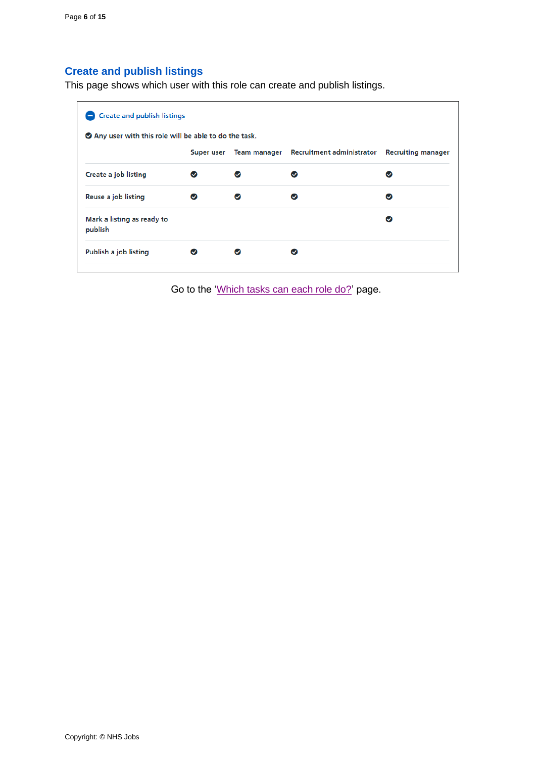# <span id="page-5-0"></span>**Create and publish listings**

This page shows which user with this role can create and publish listings.

| ◆ Any user with this role will be able to do the task. |            |              |                           |                           |
|--------------------------------------------------------|------------|--------------|---------------------------|---------------------------|
|                                                        | Super user | Team manager | Recruitment administrator | <b>Recruiting manager</b> |
| Create a job listing                                   |            |              | ω                         | ☑                         |
| Reuse a job listing                                    | Ø          |              |                           | ω                         |
| Mark a listing as ready to<br>publish                  |            |              |                           | Ø                         |
| Publish a job listing                                  |            |              |                           |                           |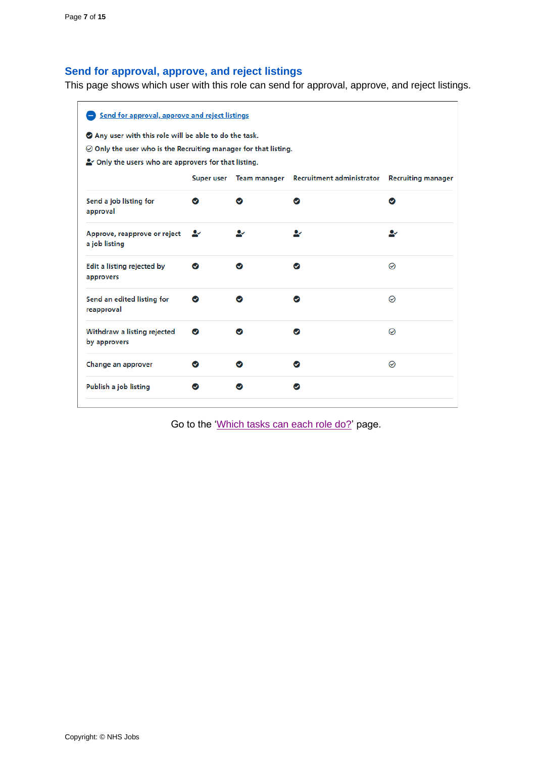# <span id="page-6-0"></span>**Send for approval, approve, and reject listings**

This page shows which user with this role can send for approval, approve, and reject listings.

| Send for approval, approve and reject listings                                                                                                                                           |            |              |                           |                           |  |  |
|------------------------------------------------------------------------------------------------------------------------------------------------------------------------------------------|------------|--------------|---------------------------|---------------------------|--|--|
| ◆ Any user with this role will be able to do the task.<br>$\odot$ Only the user who is the Recruiting manager for that listing.<br>So Only the users who are approvers for that listing. |            |              |                           |                           |  |  |
|                                                                                                                                                                                          | Super user | Team manager | Recruitment administrator | <b>Recruiting manager</b> |  |  |
| Send a job listing for<br>approval                                                                                                                                                       | ∞          | ∞            | ⊘                         | $\bullet$                 |  |  |
| Approve, reapprove or reject<br>a job listing                                                                                                                                            | <u>ду</u>  | ∾            | ⊷                         | ∗                         |  |  |
| Edit a listing rejected by<br>approvers                                                                                                                                                  | ∞          | ∞            | ⊘                         | ⊘                         |  |  |
| Send an edited listing for<br>reapproval                                                                                                                                                 | $\bullet$  | ✅            | ✅                         | ⊘                         |  |  |
| Withdraw a listing rejected<br>by approvers                                                                                                                                              | Ø          | ◎            | $\bullet$                 | ⊘                         |  |  |
| Change an approver                                                                                                                                                                       | $\bullet$  | ◙            | $\bullet$                 | ⊘                         |  |  |
| Publish a job listing                                                                                                                                                                    |            | ☑            | ∞                         |                           |  |  |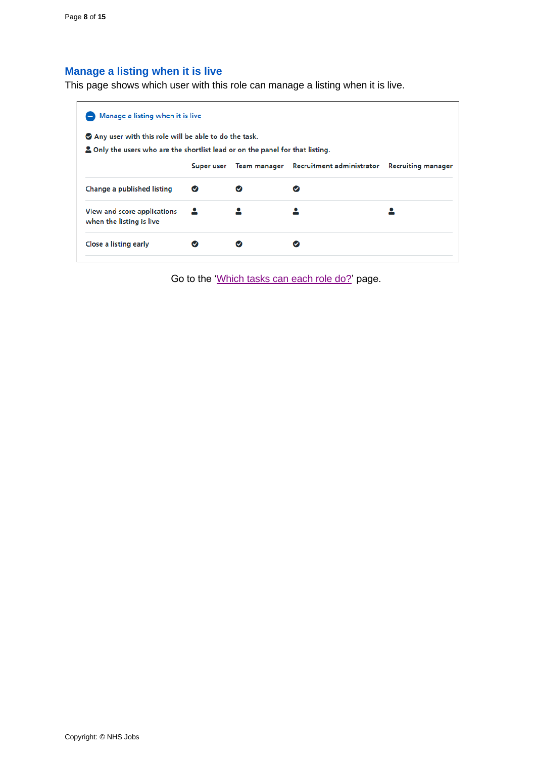# <span id="page-7-0"></span>**Manage a listing when it is live**

This page shows which user with this role can manage a listing when it is live.

| Manage a listing when it is live                                                     |   |  |                                                   |                           |  |  |
|--------------------------------------------------------------------------------------|---|--|---------------------------------------------------|---------------------------|--|--|
| ◆ Any user with this role will be able to do the task.                               |   |  |                                                   |                           |  |  |
| <b>2</b> Only the users who are the shortlist lead or on the panel for that listing. |   |  |                                                   |                           |  |  |
|                                                                                      |   |  | Super user Team manager Recruitment administrator | <b>Recruiting manager</b> |  |  |
| Change a published listing                                                           | Ø |  |                                                   |                           |  |  |
| View and score applications<br>when the listing is live                              |   |  |                                                   |                           |  |  |
| Close a listing early                                                                |   |  |                                                   |                           |  |  |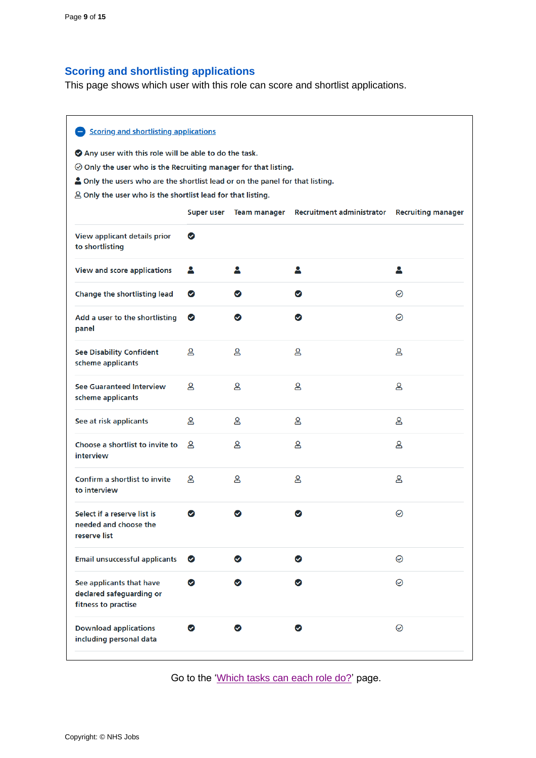# <span id="page-8-0"></span>**Scoring and shortlisting applications**

This page shows which user with this role can score and shortlist applications.

<span id="page-8-1"></span>

| Scoring and shortlisting applications                                                                                         |                   |                     |                                  |                           |
|-------------------------------------------------------------------------------------------------------------------------------|-------------------|---------------------|----------------------------------|---------------------------|
| Any user with this role will be able to do the task.<br>$\odot$ Only the user who is the Recruiting manager for that listing. |                   |                     |                                  |                           |
| A Only the users who are the shortlist lead or on the panel for that listing.                                                 |                   |                     |                                  |                           |
| $\triangle$ Only the user who is the shortlist lead for that listing.                                                         |                   |                     |                                  |                           |
|                                                                                                                               | <b>Super user</b> | <b>Team manager</b> | <b>Recruitment administrator</b> | <b>Recruiting manager</b> |
| View applicant details prior<br>to shortlisting                                                                               | ◙                 |                     |                                  |                           |
| <b>View and score applications</b>                                                                                            | д                 | 2                   | 2                                | д                         |
| Change the shortlisting lead                                                                                                  | ✅                 | ◙                   | ◙                                | $\odot$                   |
| Add a user to the shortlisting<br>panel                                                                                       | $\bullet$         | $\bullet$           | ◙                                | ⊘                         |
| <b>See Disability Confident</b><br>scheme applicants                                                                          | ള                 | ള                   | ള                                | ള                         |
| <b>See Guaranteed Interview</b><br>scheme applicants                                                                          | ള                 | ള                   | ള                                | ള                         |
| See at risk applicants                                                                                                        | ള                 | ള                   | ള                                | ള                         |
| Choose a shortlist to invite to<br>interview                                                                                  | ള                 | ള                   | ള                                | ള                         |
| Confirm a shortlist to invite<br>to interview                                                                                 | Զ                 | ള                   | ള                                | ള                         |
| Select if a reserve list is<br>needed and choose the<br>reserve list                                                          | $\bullet$         | ☑                   | Ø                                | ⊘                         |
| <b>Email unsuccessful applicants</b>                                                                                          | $\bullet$         | ❤                   | ◙                                | $\odot$                   |
| See applicants that have<br>declared safeguarding or<br>fitness to practise                                                   | $\bullet$         | ☑                   | ☑                                | $\odot$                   |
| <b>Download applications</b><br>including personal data                                                                       | ◙                 | ◙                   | ◙                                | $\odot$                   |
|                                                                                                                               |                   |                     |                                  |                           |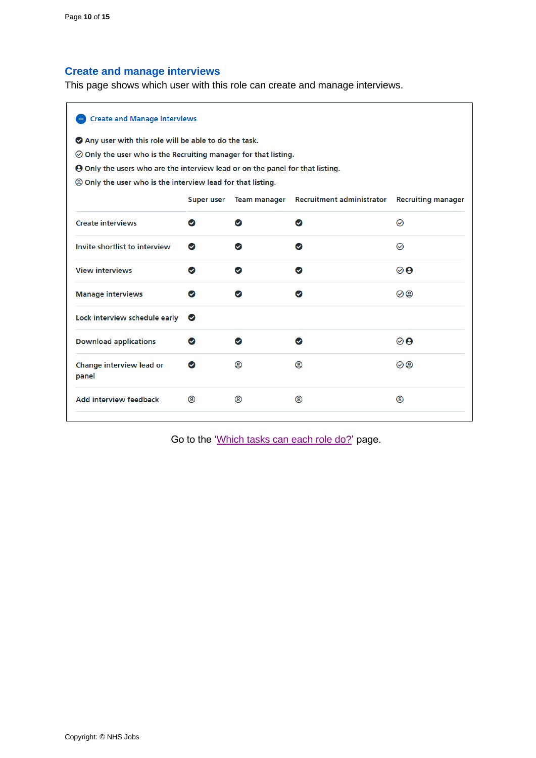# <span id="page-9-0"></span>**Create and manage interviews**

This page shows which user with this role can create and manage interviews.

| <b>Create and Manage interviews</b>                                                  |                   |                     |                                  |                                 |  |
|--------------------------------------------------------------------------------------|-------------------|---------------------|----------------------------------|---------------------------------|--|
| Any user with this role will be able to do the task.                                 |                   |                     |                                  |                                 |  |
| $\oslash$ Only the user who is the Recruiting manager for that listing.              |                   |                     |                                  |                                 |  |
| <b>O</b> Only the users who are the interview lead or on the panel for that listing. |                   |                     |                                  |                                 |  |
| <b>@ Only the user who is the interview lead for that listing.</b>                   |                   |                     |                                  |                                 |  |
|                                                                                      | <b>Super user</b> | <b>Team manager</b> | <b>Recruitment administrator</b> | <b>Recruiting manager</b>       |  |
| <b>Create interviews</b>                                                             | $\bullet$         | ◙                   | ◙                                | ⊙                               |  |
| Invite shortlist to interview                                                        | ◙                 | ◙                   | ◉                                | ⊘                               |  |
| <b>View interviews</b>                                                               | $\bullet$         | ◉                   | $\bullet$                        | $\boldsymbol{\odot} \mathbf{O}$ |  |
| <b>Manage interviews</b>                                                             | $\bullet$         | $\bullet$           | $\bullet$                        | 00                              |  |
| Lock interview schedule early                                                        | $\bullet$         |                     |                                  |                                 |  |
| <b>Download applications</b>                                                         | ◙                 | $\bullet$           | ◎                                | $\boldsymbol{\odot}$            |  |
| Change interview lead or<br>panel                                                    | $\bullet$         | @                   | @                                | 00                              |  |
| <b>Add interview feedback</b>                                                        | @                 | @                   | @                                | @                               |  |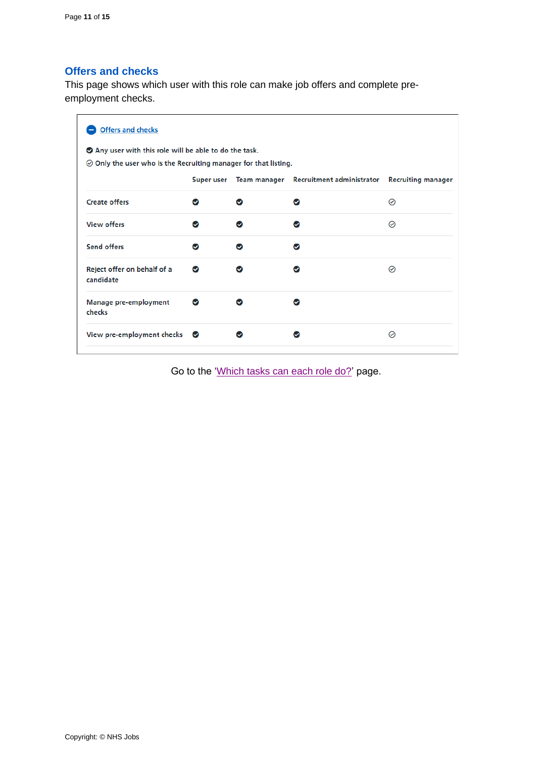#### <span id="page-10-0"></span>**Offers and checks**

This page shows which user with this role can make job offers and complete preemployment checks.

| <b>Offers and checks</b>                                                                                                          |           |   |                                                                      |   |  |
|-----------------------------------------------------------------------------------------------------------------------------------|-----------|---|----------------------------------------------------------------------|---|--|
| ◆ Any user with this role will be able to do the task.<br>$\oslash$ Only the user who is the Recruiting manager for that listing. |           |   |                                                                      |   |  |
|                                                                                                                                   |           |   | Super user Team manager Recruitment administrator Recruiting manager |   |  |
| <b>Create offers</b>                                                                                                              | Ω         |   |                                                                      | の |  |
| <b>View offers</b>                                                                                                                | ω         | ω |                                                                      | ⊘ |  |
| <b>Send offers</b>                                                                                                                | Ω         | ω | ω                                                                    |   |  |
| Reject offer on behalf of a<br>candidate                                                                                          | Ω         |   |                                                                      | の |  |
| Manage pre-employment<br>checks                                                                                                   | Ø         |   |                                                                      |   |  |
| View pre-employment checks                                                                                                        | $\bullet$ |   |                                                                      | ⊘ |  |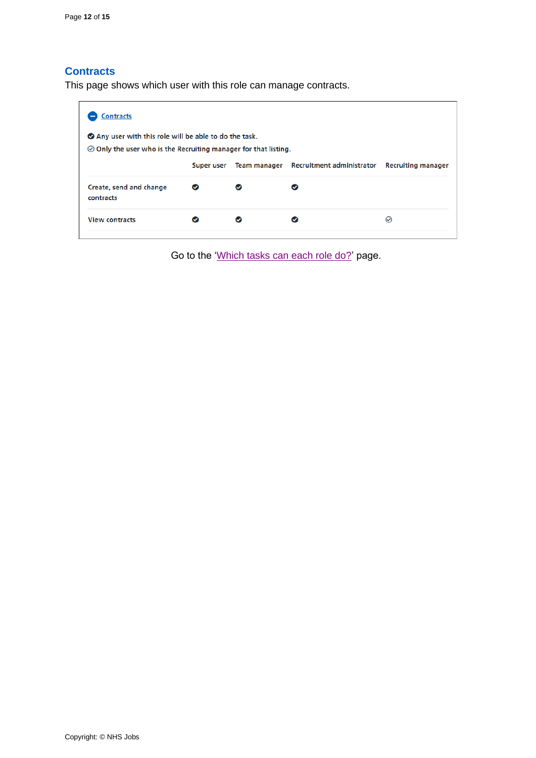#### <span id="page-11-0"></span>**Contracts**

This page shows which user with this role can manage contracts.

| <b>Contracts</b>                                                      |            |                                                           |          |
|-----------------------------------------------------------------------|------------|-----------------------------------------------------------|----------|
| ● Any user with this role will be able to do the task.                |            |                                                           |          |
| $\odot$ Only the user who is the Recruiting manager for that listing. |            |                                                           |          |
|                                                                       | Super user | Team manager Recruitment administrator Recruiting manager |          |
| Create, send and change<br>contracts                                  | Ø          | Ø                                                         |          |
| <b>View contracts</b>                                                 |            |                                                           | $\omega$ |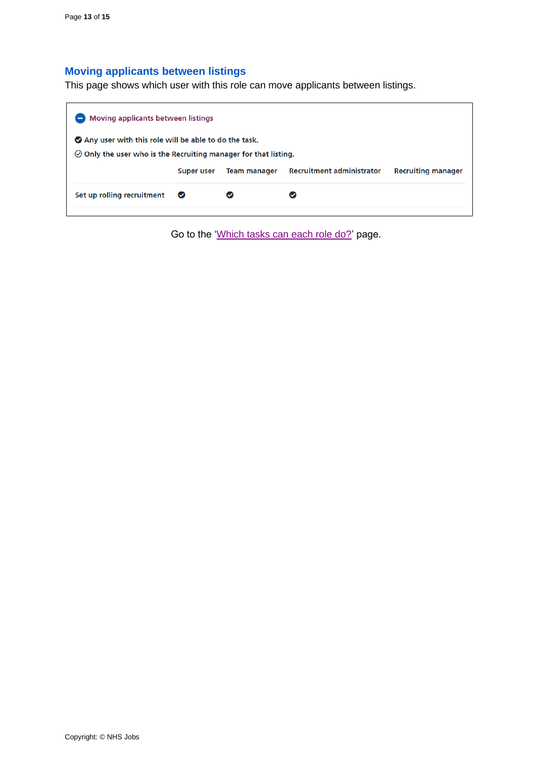# <span id="page-12-0"></span>**Moving applicants between listings**

This page shows which user with this role can move applicants between listings.

<span id="page-12-1"></span>

| <b>Moving applicants between listings</b>                                                                                     |                                                                                                    |  |  |  |  |  |
|-------------------------------------------------------------------------------------------------------------------------------|----------------------------------------------------------------------------------------------------|--|--|--|--|--|
| Any user with this role will be able to do the task.<br>$\odot$ Only the user who is the Recruiting manager for that listing. |                                                                                                    |  |  |  |  |  |
|                                                                                                                               | <b>Recruitment administrator</b><br><b>Recruiting manager</b><br><b>Team manager</b><br>Super user |  |  |  |  |  |
| Set up rolling recruitment                                                                                                    | $\bullet$                                                                                          |  |  |  |  |  |
|                                                                                                                               |                                                                                                    |  |  |  |  |  |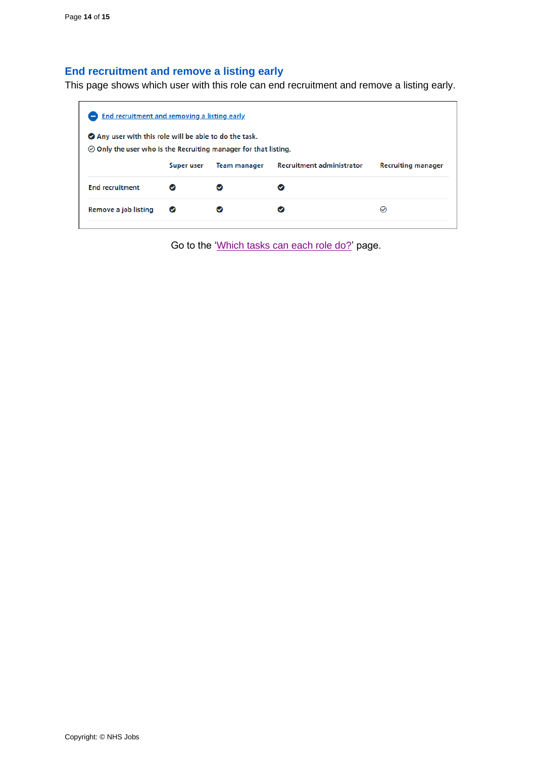#### <span id="page-13-0"></span>**End recruitment and remove a listing early**

This page shows which user with this role can end recruitment and remove a listing early.

| ◆ Any user with this role will be able to do the task.                |            |                     |                                  |                           |  |  |  |  |
|-----------------------------------------------------------------------|------------|---------------------|----------------------------------|---------------------------|--|--|--|--|
| $\odot$ Only the user who is the Recruiting manager for that listing. |            |                     |                                  |                           |  |  |  |  |
|                                                                       | Super user | <b>Team manager</b> | <b>Recruitment administrator</b> | <b>Recruiting manager</b> |  |  |  |  |
| <b>End recruitment</b>                                                | $\bullet$  |                     |                                  |                           |  |  |  |  |
| Remove a job listing                                                  | Ø          |                     |                                  | $\omega$                  |  |  |  |  |